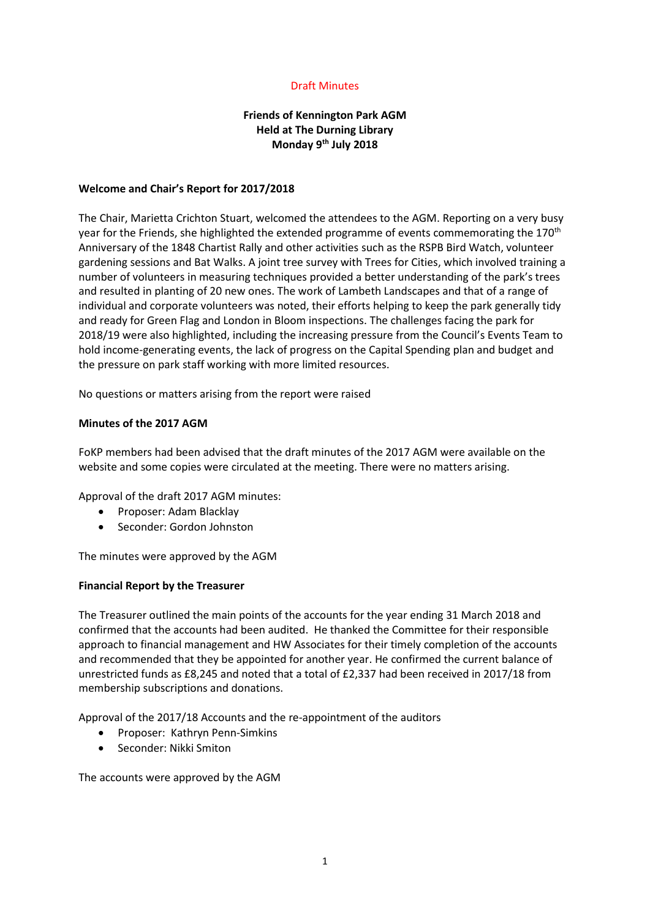## Draft Minutes

# **Friends of Kennington Park AGM Held at The Durning Library Monday 9th July 2018**

### **Welcome and Chair's Report for 2017/2018**

The Chair, Marietta Crichton Stuart, welcomed the attendees to the AGM. Reporting on a very busy year for the Friends, she highlighted the extended programme of events commemorating the 170<sup>th</sup> Anniversary of the 1848 Chartist Rally and other activities such as the RSPB Bird Watch, volunteer gardening sessions and Bat Walks. A joint tree survey with Trees for Cities, which involved training a number of volunteers in measuring techniques provided a better understanding of the park's trees and resulted in planting of 20 new ones. The work of Lambeth Landscapes and that of a range of individual and corporate volunteers was noted, their efforts helping to keep the park generally tidy and ready for Green Flag and London in Bloom inspections. The challenges facing the park for 2018/19 were also highlighted, including the increasing pressure from the Council's Events Team to hold income-generating events, the lack of progress on the Capital Spending plan and budget and the pressure on park staff working with more limited resources.

No questions or matters arising from the report were raised

### **Minutes of the 2017 AGM**

FoKP members had been advised that the draft minutes of the 2017 AGM were available on the website and some copies were circulated at the meeting. There were no matters arising.

Approval of the draft 2017 AGM minutes:

- Proposer: Adam Blacklay
- Seconder: Gordon Johnston

The minutes were approved by the AGM

#### **Financial Report by the Treasurer**

The Treasurer outlined the main points of the accounts for the year ending 31 March 2018 and confirmed that the accounts had been audited. He thanked the Committee for their responsible approach to financial management and HW Associates for their timely completion of the accounts and recommended that they be appointed for another year. He confirmed the current balance of unrestricted funds as £8,245 and noted that a total of £2,337 had been received in 2017/18 from membership subscriptions and donations.

Approval of the 2017/18 Accounts and the re-appointment of the auditors

- Proposer: Kathryn Penn-Simkins
- Seconder: Nikki Smiton

The accounts were approved by the AGM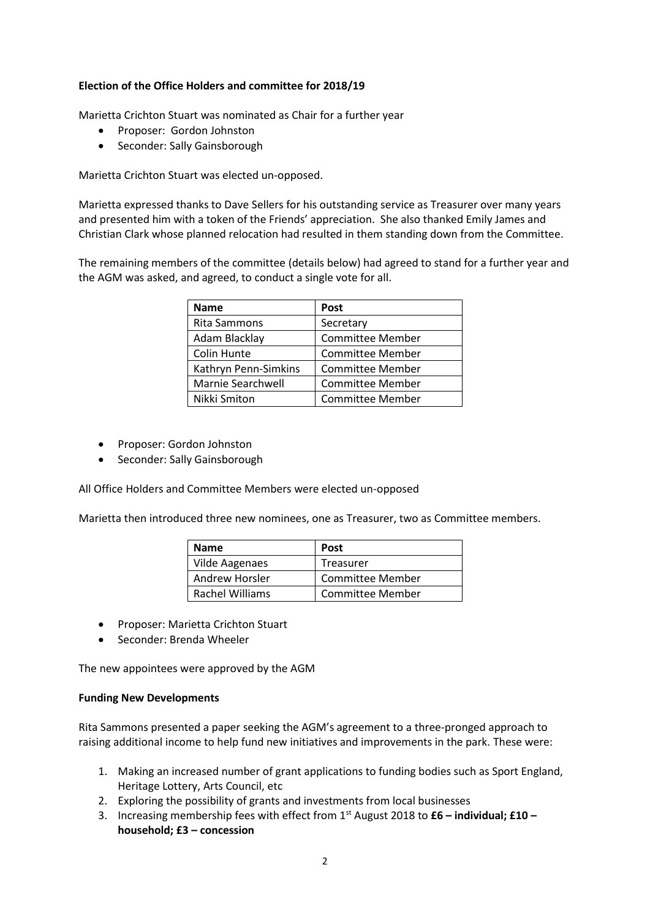## **Election of the Office Holders and committee for 2018/19**

Marietta Crichton Stuart was nominated as Chair for a further year

- Proposer: Gordon Johnston
- Seconder: Sally Gainsborough

Marietta Crichton Stuart was elected un-opposed.

Marietta expressed thanks to Dave Sellers for his outstanding service as Treasurer over many years and presented him with a token of the Friends' appreciation. She also thanked Emily James and Christian Clark whose planned relocation had resulted in them standing down from the Committee.

The remaining members of the committee (details below) had agreed to stand for a further year and the AGM was asked, and agreed, to conduct a single vote for all.

| <b>Name</b>          | <b>Post</b>             |
|----------------------|-------------------------|
| Rita Sammons         | Secretary               |
| Adam Blacklay        | <b>Committee Member</b> |
| Colin Hunte          | Committee Member        |
| Kathryn Penn-Simkins | <b>Committee Member</b> |
| Marnie Searchwell    | <b>Committee Member</b> |
| Nikki Smiton         | Committee Member        |

- Proposer: Gordon Johnston
- Seconder: Sally Gainsborough

All Office Holders and Committee Members were elected un-opposed

Marietta then introduced three new nominees, one as Treasurer, two as Committee members.

| <b>Name</b>           | <b>Post</b>             |
|-----------------------|-------------------------|
| <b>Vilde Aagenaes</b> | Treasurer               |
| Andrew Horsler        | <b>Committee Member</b> |
| Rachel Williams       | <b>Committee Member</b> |

- Proposer: Marietta Crichton Stuart
- Seconder: Brenda Wheeler

The new appointees were approved by the AGM

### **Funding New Developments**

Rita Sammons presented a paper seeking the AGM's agreement to a three-pronged approach to raising additional income to help fund new initiatives and improvements in the park. These were:

- 1. Making an increased number of grant applications to funding bodies such as Sport England, Heritage Lottery, Arts Council, etc
- 2. Exploring the possibility of grants and investments from local businesses
- 3. Increasing membership fees with effect from 1st August 2018 to **£6 – individual; £10 – household; £3 – concession**